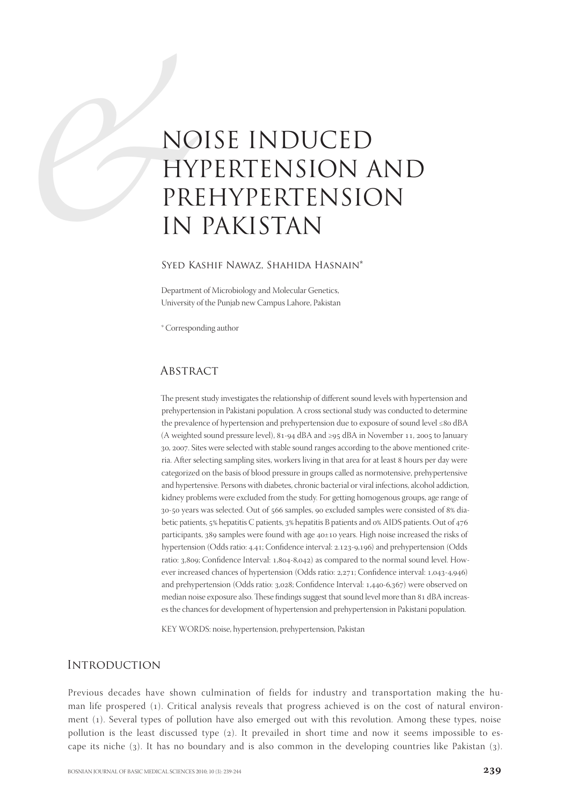# NO<br>HY<br>PRI<br>IN<br>SYED KA NOISE INDUCED HYPERTENSION AND PREHYPERTENSION IN PAKISTAN

## Syed Kashif Nawaz, Shahida Hasnain\*

Department of Microbiology and Molecular Genetics, University of the Punjab new Campus Lahore, Pakistan

\* Corresponding author

# **ABSTRACT**

The present study investigates the relationship of different sound levels with hypertension and prehypertension in Pakistani population. A cross sectional study was conducted to determine the prevalence of hypertension and prehypertension due to exposure of sound level  $\leq 80$  dBA (A weighted sound pressure level),  $81-94$  dBA and ≥95 dBA in November 11, 2005 to January 30, 2007. Sites were selected with stable sound ranges according to the above mentioned criteria. After selecting sampling sites, workers living in that area for at least hours per day were categorized on the basis of blood pressure in groups called as normotensive, prehypertensive and hypertensive. Persons with diabetes, chronic bacterial or viral infections, alcohol addiction, kidney problems were excluded from the study. For getting homogenous groups, age range of 30-50 years was selected. Out of 566 samples, 90 excluded samples were consisted of 8% diabetic patients, 5% hepatitis C patients, 3% hepatitis B patients and 0% AIDS patients. Out of 476 participants,  $389$  samples were found with age  $40±10$  years. High noise increased the risks of hypertension (Odds ratio: 4.41; Confidence interval: 2.123-9,196) and prehypertension (Odds ratio: 3,809; Confidence Interval: 1,804-8,042) as compared to the normal sound level. However increased chances of hypertension (Odds ratio:  $2,271$ ; Confidence interval:  $1,043-4,946$ ) and prehypertension (Odds ratio: 3,028; Confidence Interval: 1,440-6,367) were observed on median noise exposure also. These findings suggest that sound level more than 81 dBA increases the chances for development of hypertension and prehypertension in Pakistani population.

KEY WORDS: noise, hypertension, prehypertension, Pakistan

# **INTRODUCTION**

Previous decades have shown culmination of fields for industry and transportation making the human life prospered (). Critical analysis reveals that progress achieved is on the cost of natural environment (1). Several types of pollution have also emerged out with this revolution. Among these types, noise pollution is the least discussed type (2). It prevailed in short time and now it seems impossible to escape its niche  $(3)$ . It has no boundary and is also common in the developing countries like Pakistan  $(3)$ .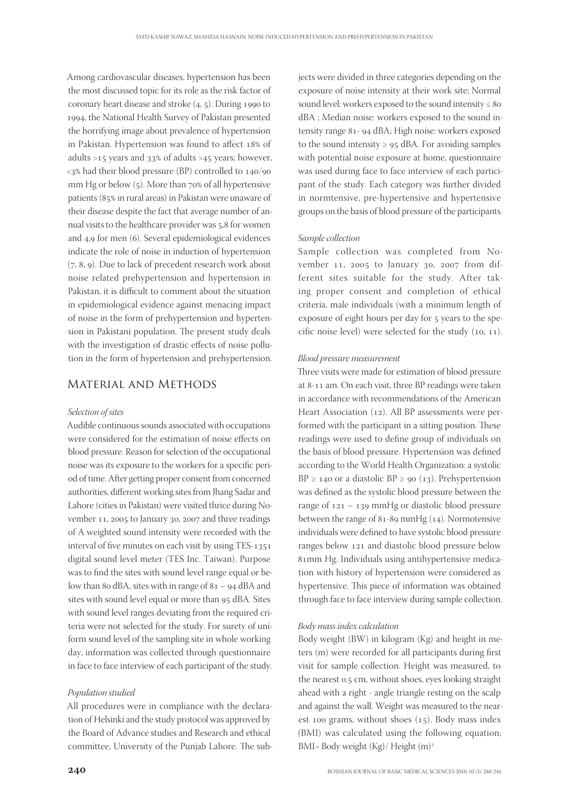Among cardiovascular diseases, hypertension has been the most discussed topic for its role as the risk factor of coronary heart disease and stroke  $(4, 5)$ . During 1990 to 1994, the National Health Survey of Pakistan presented the horrifying image about prevalence of hypertension in Pakistan. Hypertension was found to affect 18% of adults  $>15$  years and  $33\%$  of adults  $>45$  years; however,  $\langle 3\%$  had their blood pressure (BP) controlled to  $140/90$ mm Hg or below  $(5)$ . More than  $70\%$  of all hypertensive patients (85% in rural areas) in Pakistan were unaware of their disease despite the fact that average number of annual visits to the healthcare provider was 5,8 for women and 4,9 for men (6). Several epidemiological evidences indicate the role of noise in induction of hypertension  $(7, 8, 9)$ . Due to lack of precedent research work about noise related prehypertension and hypertension in Pakistan, it is difficult to comment about the situation in epidemiological evidence against menacing impact of noise in the form of prehypertension and hypertension in Pakistani population. The present study deals with the investigation of drastic effects of noise pollution in the form of hypertension and prehypertension.

# Material and Methods

## Selection of sites

Audible continuous sounds associated with occupations were considered for the estimation of noise effects on blood pressure. Reason for selection of the occupational noise was its exposure to the workers for a specific period of time. After getting proper consent from concerned authorities, different working sites from Jhang Sadar and Lahore (cities in Pakistan) were visited thrice during November 11, 2005 to January 30, 2007 and three readings of A weighted sound intensity were recorded with the interval of five minutes on each visit by using TES-1351 digital sound level meter (TES Inc. Taiwan). Purpose was to find the sites with sound level range equal or below than 80 dBA, sites with in range of  $81 - 94$  dBA and sites with sound level equal or more than 95 dBA. Sites with sound level ranges deviating from the required criteria were not selected for the study. For surety of uniform sound level of the sampling site in whole working day, information was collected through questionnaire in face to face interview of each participant of the study.

#### Population studied

All procedures were in compliance with the declaration of Helsinki and the study protocol was approved by the Board of Advance studies and Research and ethical committee, University of the Punjab Lahore. The subjects were divided in three categories depending on the exposure of noise intensity at their work site; Normal sound level: workers exposed to the sound intensity  $\leq 80$ dBA ; Median noise: workers exposed to the sound intensity range 81- 94 dBA; High noise: workers exposed to the sound intensity  $\geq$  95 dBA. For avoiding samples with potential noise exposure at home, questionnaire was used during face to face interview of each participant of the study. Each category was further divided in normtensive, pre-hypertensive and hypertensive groups on the basis of blood pressure of the participants.

## Sample collection

Sample collection was completed from November 11, 2005 to January 30, 2007 from different sites suitable for the study. After taking proper consent and completion of ethical criteria, male individuals (with a minimum length of exposure of eight hours per day for 5 years to the specific noise level) were selected for the study  $(10, 11)$ .

#### Blood pressure measurement

Three visits were made for estimation of blood pressure at 8-11 am. On each visit, three BP readings were taken in accordance with recommendations of the American Heart Association  $(12)$ . All BP assessments were performed with the participant in a sitting position. These readings were used to define group of individuals on the basis of blood pressure. Hypertension was defined according to the World Health Organization: a systolic BP  $\geq$  140 or a diastolic BP  $\geq$  90 (13). Prehypertension was defined as the systolic blood pressure between the range of  $121 - 139$  mmHg or diastolic blood pressure between the range of 81-89 mmHg  $(14)$ . Normotensive individuals were defined to have systolic blood pressure ranges below 121 and diastolic blood pressure below 81mm Hg. Individuals using antihypertensive medication with history of hypertension were considered as hypertensive. This piece of information was obtained through face to face interview during sample collection.

#### Body mass index calculation

Body weight (BW) in kilogram (Kg) and height in meters (m) were recorded for all participants during first visit for sample collection. Height was measured, to the nearest 0.5 cm, without shoes, eyes looking straight ahead with a right - angle triangle resting on the scalp and against the wall. Weight was measured to the nearest 100 grams, without shoes  $(15)$ . Body mass index (BMI) was calculated using the following equation; BMI= Body weight (Kg)/ Height (m)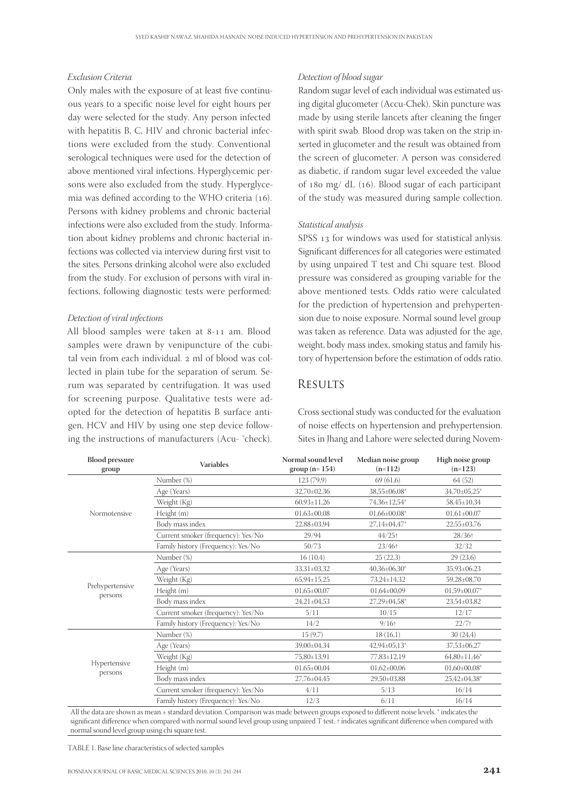### Exclusion Criteria

Only males with the exposure of at least five continuous years to a specific noise level for eight hours per day were selected for the study. Any person infected with hepatitis B, C, HIV and chronic bacterial infections were excluded from the study. Conventional serological techniques were used for the detection of above mentioned viral infections. Hyperglycemic persons were also excluded from the study. Hyperglycemia was defined according to the WHO criteria (16). Persons with kidney problems and chronic bacterial infections were also excluded from the study. Information about kidney problems and chronic bacterial infections was collected via interview during first visit to the sites. Persons drinking alcohol were also excluded from the study. For exclusion of persons with viral infections, following diagnostic tests were performed:

## Detection of viral infections

All blood samples were taken at 8-11 am. Blood samples were drawn by venipuncture of the cubital vein from each individual. 2 ml of blood was collected in plain tube for the separation of serum. Serum was separated by centrifugation. It was used for screening purpose. Qualitative tests were adopted for the detection of hepatitis B surface antigen, HCV and HIV by using one step device following the instructions of manufacturers (Acu-  $\text{`check}.$ 

## Detection of blood sugar

Random sugar level of each individual was estimated using digital glucometer (Accu-Chek). Skin puncture was made by using sterile lancets after cleaning the finger with spirit swab. Blood drop was taken on the strip inserted in glucometer and the result was obtained from the screen of glucometer. A person was considered as diabetic, if random sugar level exceeded the value of  $180 \text{ mg}/ \text{ dL}$  (16). Blood sugar of each participant of the study was measured during sample collection.

## Statistical analysis

SPSS 13 for windows was used for statistical anlysis. Significant differences for all categories were estimated by using unpaired T test and Chi square test. Blood pressure was considered as grouping variable for the above mentioned tests. Odds ratio were calculated for the prediction of hypertension and prehypertension due to noise exposure. Normal sound level group was taken as reference. Data was adjusted for the age, weight, body mass index, smoking status and family history of hypertension before the estimation of odds ratio.

# **RESULTS**

Cross sectional study was conducted for the evaluation of noise effects on hypertension and prehypertension. Sites in Jhang and Lahore were selected during Novem-

| <b>Blood pressure</b><br>group | <b>Variables</b>                   | Normal sound level<br>$group (n=154)$ | Median noise group<br>$(n=112)$ | High noise group<br>$(n=123)$ |
|--------------------------------|------------------------------------|---------------------------------------|---------------------------------|-------------------------------|
|                                | Number (%)                         | 123 (79,9)                            | 69(61,6)                        | 64(52)                        |
|                                | Age (Years)                        | 32,70±02,36                           | 38,55±06,08*                    | 34,70±05,25*                  |
|                                | Weight (Kg)                        | $60,93 \pm 11,26$                     | 74,36±12,54*                    | 58,45±10,34                   |
| Normotensive                   | Height (m)                         | $01,63\pm00,08$                       | $01,66 \pm 00,08^*$             | $01,61\pm00,07$               |
|                                | Body mass index                    | 22,88±03,94                           | 27,14±04,47*                    | $22,55\pm03,76$               |
|                                | Current smoker (frequency): Yes/No | 29/94                                 | $44/25$ +                       | $28/36$ <sup>+</sup>          |
|                                | Family history (Frequency): Yes/No | 50/73                                 | $23/46$ <sup>+</sup>            | 32/32                         |
|                                | Number (%)                         | 16(10,4)                              | 25(22,3)                        | 29(23,6)                      |
|                                | Age (Years)                        | 33,31±03,32                           | $40,36\pm06,30*$                | 35,93±06,23                   |
|                                | Weight (Kg)                        | $65.94 \pm 15.25$                     | 73.24±14.32                     | 59,28±08,70                   |
| Prehypertensive<br>persons     | Height (m)                         | $01,65\pm00,07$                       | $01,64\pm00,09$                 | $01,59\pm00,07*$              |
|                                | Body mass index                    | $24,21\pm04,53$                       | $27,29 \pm 04,58$ *             | 23,54±03,82                   |
|                                | Current smoker (frequency): Yes/No | 5/11                                  | 10/15                           | 12/17                         |
|                                | Family history (Frequency): Yes/No | 14/2                                  | $9/16+$                         | $22/7+$                       |
|                                | Number (%)                         | 15(9,7)                               | 18(16,1)                        | 30(24,4)                      |
|                                | Age (Years)                        | 39,00±04,34                           | $42,94\pm05,13^*$               | $37,53\pm06,27$               |
|                                | Weight (Kg)                        | 75,80±13,91                           | 77,83±12,19                     | $64,80\pm11,46^*$             |
| Hypertensive<br>persons        | Height (m)                         | $01,65\pm00,04$                       | $01,62\pm00,06$                 | $01,60\pm00,08*$              |
|                                | Body mass index                    | 27,76±04,45                           | 29,50±03,88                     | 25,42±04,38*                  |
|                                | Current smoker (frequency): Yes/No | 4/11                                  | 5/13                            | 16/14                         |
|                                | Family history (Frequency): Yes/No | 12/3                                  | 6/11                            | 16/14                         |
|                                |                                    |                                       |                                 |                               |

All the data are shown as mean ± standard deviation. Comparison was made between groups exposed to different noise levels. \* indicates the significant difference when compared with normal sound level group using unpaired T test. † indicates significant difference when compared with normal sound level group using chi square test.

TABLE 1. Base line characteristics of selected samples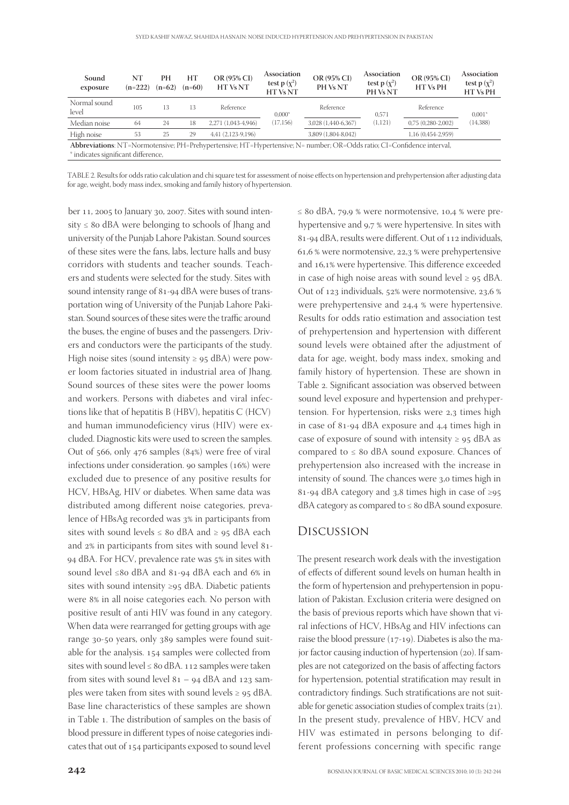| Sound<br>exposure                                                                                                                                             | NΤ<br>$(n=222)$ | PН<br>$(n=62)$ | HT<br>$(n=60)$ | OR (95% CI)<br>HT Vs NT | Association<br>test p $(\chi^2)$<br><b>HTVsNT</b> | OR (95% CI)<br>PH Vs NT | Association<br>test p $(\chi^2)$<br>PH Vs NT | OR (95% CI)<br><b>HT Vs PH</b> | Association<br>test p $(\chi^2)$<br><b>HTVsPH</b> |  |  |
|---------------------------------------------------------------------------------------------------------------------------------------------------------------|-----------------|----------------|----------------|-------------------------|---------------------------------------------------|-------------------------|----------------------------------------------|--------------------------------|---------------------------------------------------|--|--|
| Normal sound<br>level                                                                                                                                         | 105             | 13             | 13             | Reference               | $0.000*$<br>(17, 156)                             | Reference               | 0.571<br>(1,121)                             | Reference                      | $0.001*$<br>(14, 388)                             |  |  |
| Median noise                                                                                                                                                  | 64              | 24             | 18             | 2,271 (1,043-4,946)     |                                                   | 3,028 (1,440-6,367)     |                                              | $0,75(0,280-2,002)$            |                                                   |  |  |
| High noise                                                                                                                                                    | 53              | 25             | 29             | 4,41 (2,123-9,196)      |                                                   | 3,809 (1,804-8,042)     |                                              | 1,16 (0,454-2,959)             |                                                   |  |  |
| Abbreviations: NT=Normotensive; PH=Prehypertensive; HT=Hypertensive; N= number; OR=Odds ratio; CI=Confidence interval,<br>* indicates significant difference, |                 |                |                |                         |                                                   |                         |                                              |                                |                                                   |  |  |

TABLE 2. Results for odds ratio calculation and chi square test for assessment of noise effects on hypertension and prehypertension after adjusting data for age, weight, body mass index, smoking and family history of hypertension.

ber 11, 2005 to January 30, 2007. Sites with sound intensity  $\leq 8$ o dBA were belonging to schools of Jhang and university of the Punjab Lahore Pakistan. Sound sources of these sites were the fans, labs, lecture halls and busy corridors with students and teacher sounds. Teachers and students were selected for the study. Sites with sound intensity range of 81-94 dBA were buses of transportation wing of University of the Punjab Lahore Pakistan. Sound sources of these sites were the traffic around the buses, the engine of buses and the passengers. Drivers and conductors were the participants of the study. High noise sites (sound intensity  $\geq$  95 dBA) were power loom factories situated in industrial area of Jhang. Sound sources of these sites were the power looms and workers. Persons with diabetes and viral infections like that of hepatitis B (HBV), hepatitis C (HCV) and human immunodeficiency virus (HIV) were excluded. Diagnostic kits were used to screen the samples. Out of  $566$ , only  $476$  samples  $(84%)$  were free of viral infections under consideration. 90 samples  $(16%)$  were excluded due to presence of any positive results for HCV, HBsAg, HIV or diabetes. When same data was distributed among different noise categories, prevalence of HBsAg recorded was 3% in participants from sites with sound levels  $\leq 80$  dBA and  $\geq 95$  dBA each and  $2\%$  in participants from sites with sound level 81-94 dBA. For HCV, prevalence rate was 5% in sites with sound level ≤80 dBA and 81-94 dBA each and  $6\%$  in sites with sound intensity ≥95 dBA. Diabetic patients were 8% in all noise categories each. No person with positive result of anti HIV was found in any category. When data were rearranged for getting groups with age range 30-50 years, only 389 samples were found suitable for the analysis. 154 samples were collected from sites with sound level  $\leq 8$ o dBA. 112 samples were taken from sites with sound level  $81 - 94$  dBA and  $123$  samples were taken from sites with sound levels  $\geq$  95 dBA. Base line characteristics of these samples are shown in Table 1. The distribution of samples on the basis of blood pressure in different types of noise categories indicates that out of 154 participants exposed to sound level

 $\leq$  80 dBA, 79,9 % were normotensive, 10,4 % were prehypertensive and 9,7 % were hypertensive. In sites with 81-94 dBA, results were different. Out of 112 individuals, 61,6 % were normotensive,  $22.3$  % were prehypertensive and 16,1% were hypertensive. This difference exceeded in case of high noise areas with sound level  $\geq$  95 dBA. Out of 123 individuals, 52% were normotensive, 23,6 % were prehypertensive and 24,4 % were hypertensive. Results for odds ratio estimation and association test of prehypertension and hypertension with different sound levels were obtained after the adjustment of data for age, weight, body mass index, smoking and family history of hypertension. These are shown in Table 2. Significant association was observed between sound level exposure and hypertension and prehypertension. For hypertension, risks were  $2,3$  times high in case of  $81-94$  dBA exposure and  $4.4$  times high in case of exposure of sound with intensity  $\geq$  95 dBA as compared to  $\leq 8$ o dBA sound exposure. Chances of prehypertension also increased with the increase in intensity of sound. The chances were 3,0 times high in 81-94 dBA category and 3,8 times high in case of  $\geq 95$ dBA category as compared to  $\leq 8$ o dBA sound exposure.

# Discussion

The present research work deals with the investigation of effects of different sound levels on human health in the form of hypertension and prehypertension in population of Pakistan. Exclusion criteria were designed on the basis of previous reports which have shown that viral infections of HCV, HBsAg and HIV infections can raise the blood pressure  $(17-19)$ . Diabetes is also the major factor causing induction of hypertension  $(20)$ . If samples are not categorized on the basis of affecting factors for hypertension, potential stratification may result in contradictory findings. Such stratifications are not suitable for genetic association studies of complex traits  $(21)$ . In the present study, prevalence of HBV, HCV and HIV was estimated in persons belonging to different professions concerning with specific range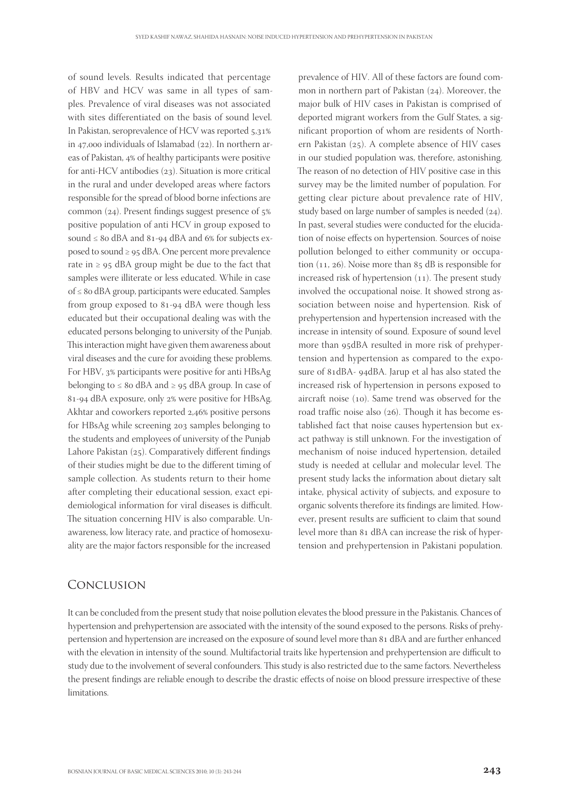of sound levels. Results indicated that percentage of HBV and HCV was same in all types of samples. Prevalence of viral diseases was not associated with sites differentiated on the basis of sound level. In Pakistan, seroprevalence of HCV was reported  $5.31\%$ in 47,000 individuals of Islamabad  $(22)$ . In northern areas of Pakistan, 4% of healthy participants were positive for anti-HCV antibodies  $(z_3)$ . Situation is more critical in the rural and under developed areas where factors responsible for the spread of blood borne infections are common  $(24)$ . Present findings suggest presence of  $5\%$ positive population of anti HCV in group exposed to sound  $\leq 8$ o dBA and  $8$ 1-94 dBA and 6% for subjects exposed to sound  $\geq$  95 dBA. One percent more prevalence rate in  $\geq$  95 dBA group might be due to the fact that samples were illiterate or less educated. While in case of ≤ dBA group, participants were educated. Samples from group exposed to 81-94 dBA were though less educated but their occupational dealing was with the educated persons belonging to university of the Punjab. This interaction might have given them awareness about viral diseases and the cure for avoiding these problems. For HBV, 3% participants were positive for anti HBsAg belonging to  $\leq 8$ o dBA and  $\geq 95$  dBA group. In case of 81-94 dBA exposure, only 2% were positive for HBsAg. Akhtar and coworkers reported 2,46% positive persons for HBsAg while screening 203 samples belonging to the students and employees of university of the Punjab Lahore Pakistan  $(25)$ . Comparatively different findings of their studies might be due to the different timing of sample collection. As students return to their home after completing their educational session, exact epidemiological information for viral diseases is difficult. The situation concerning HIV is also comparable. Unawareness, low literacy rate, and practice of homosexuality are the major factors responsible for the increased

# Conclusion

It can be concluded from the present study that noise pollution elevates the blood pressure in the Pakistanis. Chances of hypertension and prehypertension are associated with the intensity of the sound exposed to the persons. Risks of prehypertension and hypertension are increased on the exposure of sound level more than 81 dBA and are further enhanced with the elevation in intensity of the sound. Multifactorial traits like hypertension and prehypertension are difficult to study due to the involvement of several confounders. This study is also restricted due to the same factors. Nevertheless the present findings are reliable enough to describe the drastic effects of noise on blood pressure irrespective of these limitations.

major bulk of HIV cases in Pakistan is comprised of deported migrant workers from the Gulf States, a significant proportion of whom are residents of Northern Pakistan  $(25)$ . A complete absence of HIV cases in our studied population was, therefore, astonishing. The reason of no detection of HIV positive case in this survey may be the limited number of population. For getting clear picture about prevalence rate of HIV, study based on large number of samples is needed  $(24)$ . In past, several studies were conducted for the elucidation of noise effects on hypertension. Sources of noise pollution belonged to either community or occupation  $(11, 26)$ . Noise more than  $85$  dB is responsible for increased risk of hypertension  $(11)$ . The present study involved the occupational noise. It showed strong association between noise and hypertension. Risk of prehypertension and hypertension increased with the increase in intensity of sound. Exposure of sound level more than 95dBA resulted in more risk of prehypertension and hypertension as compared to the exposure of 81dBA- 94dBA. Jarup et al has also stated the increased risk of hypertension in persons exposed to aircraft noise  $(10)$ . Same trend was observed for the road traffic noise also (26). Though it has become established fact that noise causes hypertension but exact pathway is still unknown. For the investigation of mechanism of noise induced hypertension, detailed study is needed at cellular and molecular level. The present study lacks the information about dietary salt intake, physical activity of subjects, and exposure to organic solvents therefore its findings are limited. However, present results are sufficient to claim that sound level more than 81 dBA can increase the risk of hypertension and prehypertension in Pakistani population.

prevalence of HIV. All of these factors are found common in northern part of Pakistan  $(24)$ . Moreover, the